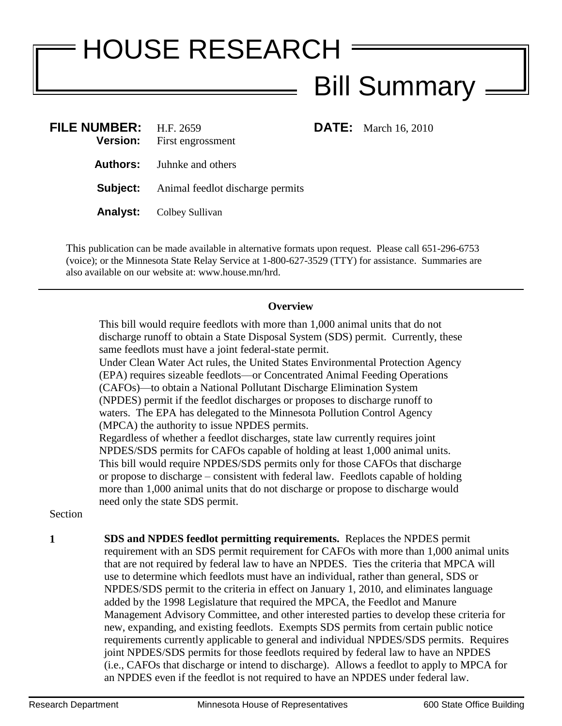## HOUSE RESEARCH Bill Summary

**DATE:** March 16, 2010

| FILE NUMBER: $H.F. 2659$ | <b>Version:</b> First engrossment                |
|--------------------------|--------------------------------------------------|
|                          | <b>Authors:</b> Juhnke and others                |
|                          | <b>Subject:</b> Animal feedlot discharge permits |
|                          | <b>Analyst:</b> Colbey Sullivan                  |
|                          |                                                  |

This publication can be made available in alternative formats upon request. Please call 651-296-6753 (voice); or the Minnesota State Relay Service at 1-800-627-3529 (TTY) for assistance. Summaries are also available on our website at: www.house.mn/hrd.

## **Overview**

This bill would require feedlots with more than 1,000 animal units that do not discharge runoff to obtain a State Disposal System (SDS) permit. Currently, these same feedlots must have a joint federal-state permit.

Under Clean Water Act rules, the United States Environmental Protection Agency (EPA) requires sizeable feedlots—or Concentrated Animal Feeding Operations (CAFOs)—to obtain a National Pollutant Discharge Elimination System (NPDES) permit if the feedlot discharges or proposes to discharge runoff to waters. The EPA has delegated to the Minnesota Pollution Control Agency (MPCA) the authority to issue NPDES permits.

Regardless of whether a feedlot discharges, state law currently requires joint NPDES/SDS permits for CAFOs capable of holding at least 1,000 animal units. This bill would require NPDES/SDS permits only for those CAFOs that discharge or propose to discharge – consistent with federal law. Feedlots capable of holding more than 1,000 animal units that do not discharge or propose to discharge would need only the state SDS permit.

Section

**1 SDS and NPDES feedlot permitting requirements.** Replaces the NPDES permit requirement with an SDS permit requirement for CAFOs with more than 1,000 animal units that are not required by federal law to have an NPDES. Ties the criteria that MPCA will use to determine which feedlots must have an individual, rather than general, SDS or NPDES/SDS permit to the criteria in effect on January 1, 2010, and eliminates language added by the 1998 Legislature that required the MPCA, the Feedlot and Manure Management Advisory Committee, and other interested parties to develop these criteria for new, expanding, and existing feedlots. Exempts SDS permits from certain public notice requirements currently applicable to general and individual NPDES/SDS permits. Requires joint NPDES/SDS permits for those feedlots required by federal law to have an NPDES (i.e., CAFOs that discharge or intend to discharge). Allows a feedlot to apply to MPCA for an NPDES even if the feedlot is not required to have an NPDES under federal law.